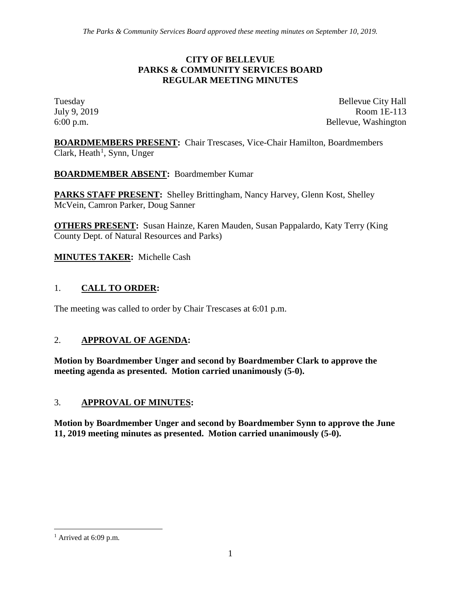#### **CITY OF BELLEVUE PARKS & COMMUNITY SERVICES BOARD REGULAR MEETING MINUTES**

Tuesday Bellevue City Hall July 9, 2019 Room 1E-113 6:00 p.m. Bellevue, Washington

**BOARDMEMBERS PRESENT:** Chair Trescases, Vice-Chair Hamilton, Boardmembers Clark, Heath<sup>[1](#page-0-0)</sup>, Synn, Unger

**BOARDMEMBER ABSENT:** Boardmember Kumar

**PARKS STAFF PRESENT:** Shelley Brittingham, Nancy Harvey, Glenn Kost, Shelley McVein, Camron Parker, Doug Sanner

**OTHERS PRESENT:** Susan Hainze, Karen Mauden, Susan Pappalardo, Katy Terry (King County Dept. of Natural Resources and Parks)

**MINUTES TAKER:** Michelle Cash

## 1. **CALL TO ORDER:**

The meeting was called to order by Chair Trescases at 6:01 p.m.

#### 2. **APPROVAL OF AGENDA:**

**Motion by Boardmember Unger and second by Boardmember Clark to approve the meeting agenda as presented. Motion carried unanimously (5-0).**

#### 3. **APPROVAL OF MINUTES:**

**Motion by Boardmember Unger and second by Boardmember Synn to approve the June 11, 2019 meeting minutes as presented. Motion carried unanimously (5-0).**

<span id="page-0-0"></span> $<sup>1</sup>$  Arrived at 6:09 p.m.</sup>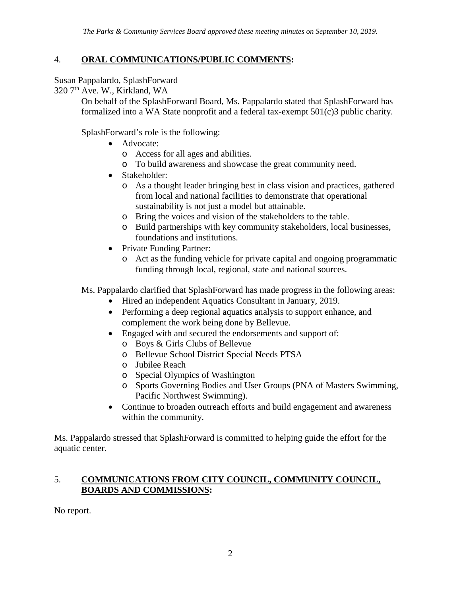### 4. **ORAL COMMUNICATIONS/PUBLIC COMMENTS:**

Susan Pappalardo, SplashForward

320 7<sup>th</sup> Ave. W., Kirkland, WA

On behalf of the SplashForward Board, Ms. Pappalardo stated that SplashForward has formalized into a WA State nonprofit and a federal tax-exempt 501(c)3 public charity.

SplashForward's role is the following:

- Advocate:
	- o Access for all ages and abilities.
	- o To build awareness and showcase the great community need.
- Stakeholder:
	- o As a thought leader bringing best in class vision and practices, gathered from local and national facilities to demonstrate that operational sustainability is not just a model but attainable.
	- o Bring the voices and vision of the stakeholders to the table.
	- o Build partnerships with key community stakeholders, local businesses, foundations and institutions.
- Private Funding Partner:
	- o Act as the funding vehicle for private capital and ongoing programmatic funding through local, regional, state and national sources.

Ms. Pappalardo clarified that SplashForward has made progress in the following areas:

- Hired an independent Aquatics Consultant in January, 2019.
- Performing a deep regional aquatics analysis to support enhance, and complement the work being done by Bellevue.
- Engaged with and secured the endorsements and support of:
	- o Boys & Girls Clubs of Bellevue
	- o Bellevue School District Special Needs PTSA
	- o Jubilee Reach
	- o Special Olympics of Washington
	- o Sports Governing Bodies and User Groups (PNA of Masters Swimming, Pacific Northwest Swimming).
- Continue to broaden outreach efforts and build engagement and awareness within the community.

Ms. Pappalardo stressed that SplashForward is committed to helping guide the effort for the aquatic center.

### 5. **COMMUNICATIONS FROM CITY COUNCIL, COMMUNITY COUNCIL, BOARDS AND COMMISSIONS:**

No report.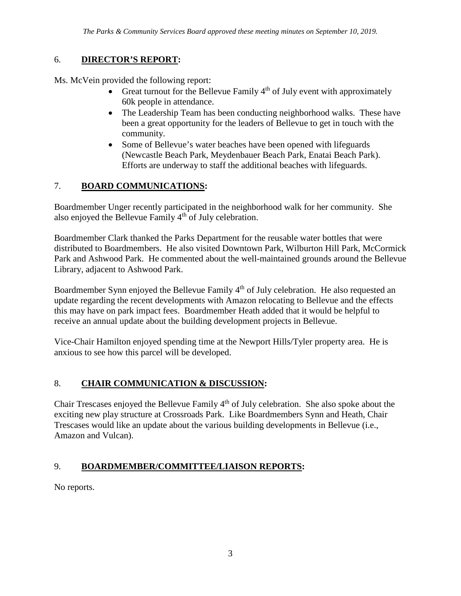# 6. **DIRECTOR'S REPORT:**

Ms. McVein provided the following report:

- Great turnout for the Bellevue Family  $4<sup>th</sup>$  of July event with approximately 60k people in attendance.
- The Leadership Team has been conducting neighborhood walks. These have been a great opportunity for the leaders of Bellevue to get in touch with the community.
- Some of Bellevue's water beaches have been opened with lifeguards (Newcastle Beach Park, Meydenbauer Beach Park, Enatai Beach Park). Efforts are underway to staff the additional beaches with lifeguards.

# 7. **BOARD COMMUNICATIONS:**

Boardmember Unger recently participated in the neighborhood walk for her community. She also enjoyed the Bellevue Family 4<sup>th</sup> of July celebration.

Boardmember Clark thanked the Parks Department for the reusable water bottles that were distributed to Boardmembers. He also visited Downtown Park, Wilburton Hill Park, McCormick Park and Ashwood Park. He commented about the well-maintained grounds around the Bellevue Library, adjacent to Ashwood Park.

Boardmember Synn enjoyed the Bellevue Family 4<sup>th</sup> of July celebration. He also requested an update regarding the recent developments with Amazon relocating to Bellevue and the effects this may have on park impact fees. Boardmember Heath added that it would be helpful to receive an annual update about the building development projects in Bellevue.

Vice-Chair Hamilton enjoyed spending time at the Newport Hills/Tyler property area. He is anxious to see how this parcel will be developed.

# 8. **CHAIR COMMUNICATION & DISCUSSION:**

Chair Trescases enjoyed the Bellevue Family 4th of July celebration. She also spoke about the exciting new play structure at Crossroads Park. Like Boardmembers Synn and Heath, Chair Trescases would like an update about the various building developments in Bellevue (i.e., Amazon and Vulcan).

# 9. **BOARDMEMBER/COMMITTEE/LIAISON REPORTS:**

No reports.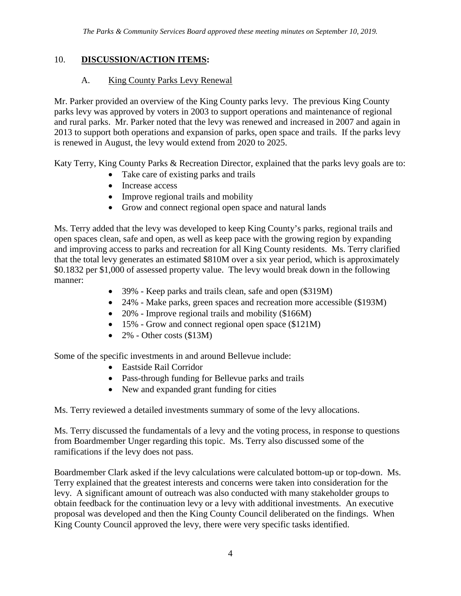### 10. **DISCUSSION/ACTION ITEMS:**

### A. King County Parks Levy Renewal

Mr. Parker provided an overview of the King County parks levy. The previous King County parks levy was approved by voters in 2003 to support operations and maintenance of regional and rural parks. Mr. Parker noted that the levy was renewed and increased in 2007 and again in 2013 to support both operations and expansion of parks, open space and trails. If the parks levy is renewed in August, the levy would extend from 2020 to 2025.

Katy Terry, King County Parks & Recreation Director, explained that the parks levy goals are to:

- Take care of existing parks and trails
- Increase access
- Improve regional trails and mobility
- Grow and connect regional open space and natural lands

Ms. Terry added that the levy was developed to keep King County's parks, regional trails and open spaces clean, safe and open, as well as keep pace with the growing region by expanding and improving access to parks and recreation for all King County residents. Ms. Terry clarified that the total levy generates an estimated \$810M over a six year period, which is approximately \$0.1832 per \$1,000 of assessed property value. The levy would break down in the following manner:

- 39% Keep parks and trails clean, safe and open (\$319M)
- 24% Make parks, green spaces and recreation more accessible (\$193M)
- 20% Improve regional trails and mobility (\$166M)
- 15% Grow and connect regional open space (\$121M)
- $2\%$  Other costs (\$13M)

Some of the specific investments in and around Bellevue include:

- Eastside Rail Corridor
- Pass-through funding for Bellevue parks and trails
- New and expanded grant funding for cities

Ms. Terry reviewed a detailed investments summary of some of the levy allocations.

Ms. Terry discussed the fundamentals of a levy and the voting process, in response to questions from Boardmember Unger regarding this topic. Ms. Terry also discussed some of the ramifications if the levy does not pass.

Boardmember Clark asked if the levy calculations were calculated bottom-up or top-down. Ms. Terry explained that the greatest interests and concerns were taken into consideration for the levy. A significant amount of outreach was also conducted with many stakeholder groups to obtain feedback for the continuation levy or a levy with additional investments. An executive proposal was developed and then the King County Council deliberated on the findings. When King County Council approved the levy, there were very specific tasks identified.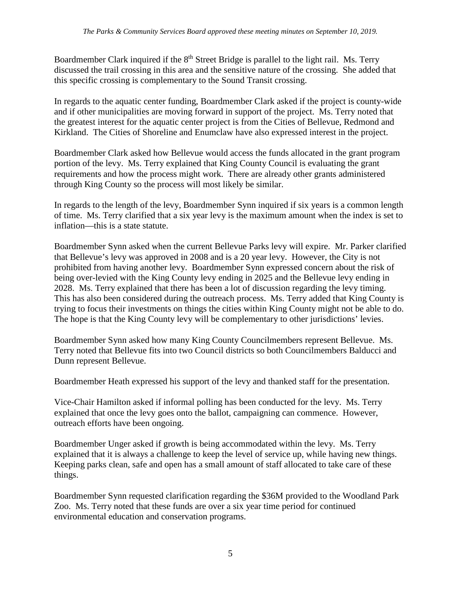Boardmember Clark inquired if the 8<sup>th</sup> Street Bridge is parallel to the light rail. Ms. Terry discussed the trail crossing in this area and the sensitive nature of the crossing. She added that this specific crossing is complementary to the Sound Transit crossing.

In regards to the aquatic center funding, Boardmember Clark asked if the project is county-wide and if other municipalities are moving forward in support of the project. Ms. Terry noted that the greatest interest for the aquatic center project is from the Cities of Bellevue, Redmond and Kirkland. The Cities of Shoreline and Enumclaw have also expressed interest in the project.

Boardmember Clark asked how Bellevue would access the funds allocated in the grant program portion of the levy. Ms. Terry explained that King County Council is evaluating the grant requirements and how the process might work. There are already other grants administered through King County so the process will most likely be similar.

In regards to the length of the levy, Boardmember Synn inquired if six years is a common length of time. Ms. Terry clarified that a six year levy is the maximum amount when the index is set to inflation—this is a state statute.

Boardmember Synn asked when the current Bellevue Parks levy will expire. Mr. Parker clarified that Bellevue's levy was approved in 2008 and is a 20 year levy. However, the City is not prohibited from having another levy. Boardmember Synn expressed concern about the risk of being over-levied with the King County levy ending in 2025 and the Bellevue levy ending in 2028. Ms. Terry explained that there has been a lot of discussion regarding the levy timing. This has also been considered during the outreach process. Ms. Terry added that King County is trying to focus their investments on things the cities within King County might not be able to do. The hope is that the King County levy will be complementary to other jurisdictions' levies.

Boardmember Synn asked how many King County Councilmembers represent Bellevue. Ms. Terry noted that Bellevue fits into two Council districts so both Councilmembers Balducci and Dunn represent Bellevue.

Boardmember Heath expressed his support of the levy and thanked staff for the presentation.

Vice-Chair Hamilton asked if informal polling has been conducted for the levy. Ms. Terry explained that once the levy goes onto the ballot, campaigning can commence. However, outreach efforts have been ongoing.

Boardmember Unger asked if growth is being accommodated within the levy. Ms. Terry explained that it is always a challenge to keep the level of service up, while having new things. Keeping parks clean, safe and open has a small amount of staff allocated to take care of these things.

Boardmember Synn requested clarification regarding the \$36M provided to the Woodland Park Zoo. Ms. Terry noted that these funds are over a six year time period for continued environmental education and conservation programs.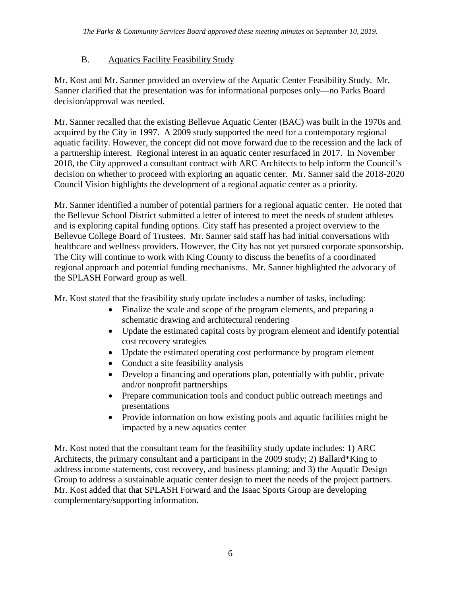# B. Aquatics Facility Feasibility Study

Mr. Kost and Mr. Sanner provided an overview of the Aquatic Center Feasibility Study. Mr. Sanner clarified that the presentation was for informational purposes only—no Parks Board decision/approval was needed.

Mr. Sanner recalled that the existing Bellevue Aquatic Center (BAC) was built in the 1970s and acquired by the City in 1997. A 2009 study supported the need for a contemporary regional aquatic facility. However, the concept did not move forward due to the recession and the lack of a partnership interest. Regional interest in an aquatic center resurfaced in 2017. In November 2018, the City approved a consultant contract with ARC Architects to help inform the Council's decision on whether to proceed with exploring an aquatic center. Mr. Sanner said the 2018-2020 Council Vision highlights the development of a regional aquatic center as a priority.

Mr. Sanner identified a number of potential partners for a regional aquatic center. He noted that the Bellevue School District submitted a letter of interest to meet the needs of student athletes and is exploring capital funding options. City staff has presented a project overview to the Bellevue College Board of Trustees. Mr. Sanner said staff has had initial conversations with healthcare and wellness providers. However, the City has not yet pursued corporate sponsorship. The City will continue to work with King County to discuss the benefits of a coordinated regional approach and potential funding mechanisms. Mr. Sanner highlighted the advocacy of the SPLASH Forward group as well.

Mr. Kost stated that the feasibility study update includes a number of tasks, including:

- Finalize the scale and scope of the program elements, and preparing a schematic drawing and architectural rendering
- Update the estimated capital costs by program element and identify potential cost recovery strategies
- Update the estimated operating cost performance by program element
- Conduct a site feasibility analysis
- Develop a financing and operations plan, potentially with public, private and/or nonprofit partnerships
- Prepare communication tools and conduct public outreach meetings and presentations
- Provide information on how existing pools and aquatic facilities might be impacted by a new aquatics center

Mr. Kost noted that the consultant team for the feasibility study update includes: 1) ARC Architects, the primary consultant and a participant in the 2009 study; 2) Ballard\*King to address income statements, cost recovery, and business planning; and 3) the Aquatic Design Group to address a sustainable aquatic center design to meet the needs of the project partners. Mr. Kost added that that SPLASH Forward and the Isaac Sports Group are developing complementary/supporting information.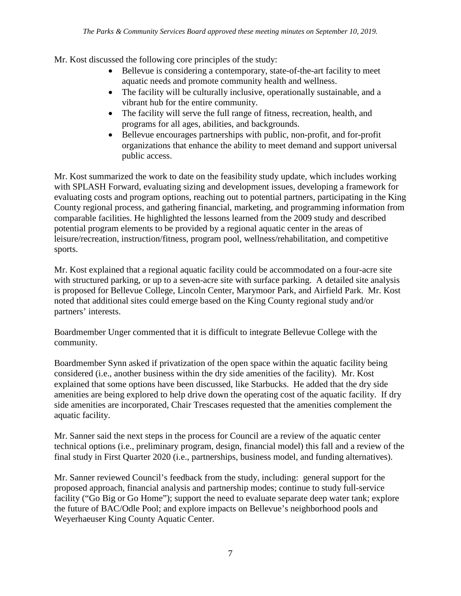Mr. Kost discussed the following core principles of the study:

- Bellevue is considering a contemporary, state-of-the-art facility to meet aquatic needs and promote community health and wellness.
- The facility will be culturally inclusive, operationally sustainable, and a vibrant hub for the entire community.
- The facility will serve the full range of fitness, recreation, health, and programs for all ages, abilities, and backgrounds.
- Bellevue encourages partnerships with public, non-profit, and for-profit organizations that enhance the ability to meet demand and support universal public access.

Mr. Kost summarized the work to date on the feasibility study update, which includes working with SPLASH Forward, evaluating sizing and development issues, developing a framework for evaluating costs and program options, reaching out to potential partners, participating in the King County regional process, and gathering financial, marketing, and programming information from comparable facilities. He highlighted the lessons learned from the 2009 study and described potential program elements to be provided by a regional aquatic center in the areas of leisure/recreation, instruction/fitness, program pool, wellness/rehabilitation, and competitive sports.

Mr. Kost explained that a regional aquatic facility could be accommodated on a four-acre site with structured parking, or up to a seven-acre site with surface parking. A detailed site analysis is proposed for Bellevue College, Lincoln Center, Marymoor Park, and Airfield Park. Mr. Kost noted that additional sites could emerge based on the King County regional study and/or partners' interests.

Boardmember Unger commented that it is difficult to integrate Bellevue College with the community.

Boardmember Synn asked if privatization of the open space within the aquatic facility being considered (i.e., another business within the dry side amenities of the facility). Mr. Kost explained that some options have been discussed, like Starbucks. He added that the dry side amenities are being explored to help drive down the operating cost of the aquatic facility. If dry side amenities are incorporated, Chair Trescases requested that the amenities complement the aquatic facility.

Mr. Sanner said the next steps in the process for Council are a review of the aquatic center technical options (i.e., preliminary program, design, financial model) this fall and a review of the final study in First Quarter 2020 (i.e., partnerships, business model, and funding alternatives).

Mr. Sanner reviewed Council's feedback from the study, including: general support for the proposed approach, financial analysis and partnership modes; continue to study full-service facility ("Go Big or Go Home"); support the need to evaluate separate deep water tank; explore the future of BAC/Odle Pool; and explore impacts on Bellevue's neighborhood pools and Weyerhaeuser King County Aquatic Center.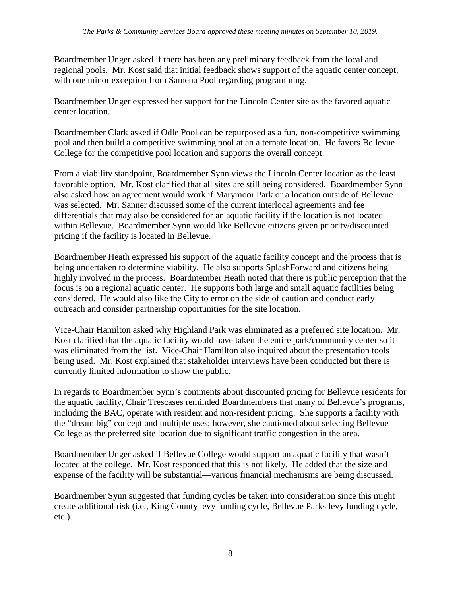Boardmember Unger asked if there has been any preliminary feedback from the local and regional pools. Mr. Kost said that initial feedback shows support of the aquatic center concept, with one minor exception from Samena Pool regarding programming.

Boardmember Unger expressed her support for the Lincoln Center site as the favored aquatic center location.

Boardmember Clark asked if Odle Pool can be repurposed as a fun, non-competitive swimming pool and then build a competitive swimming pool at an alternate location. He favors Bellevue College for the competitive pool location and supports the overall concept.

From a viability standpoint, Boardmember Synn views the Lincoln Center location as the least favorable option. Mr. Kost clarified that all sites are still being considered. Boardmember Synn also asked how an agreement would work if Marymoor Park or a location outside of Bellevue was selected. Mr. Sanner discussed some of the current interlocal agreements and fee differentials that may also be considered for an aquatic facility if the location is not located within Bellevue. Boardmember Synn would like Bellevue citizens given priority/discounted pricing if the facility is located in Bellevue.

Boardmember Heath expressed his support of the aquatic facility concept and the process that is being undertaken to determine viability. He also supports SplashForward and citizens being highly involved in the process. Boardmember Heath noted that there is public perception that the focus is on a regional aquatic center. He supports both large and small aquatic facilities being considered. He would also like the City to error on the side of caution and conduct early outreach and consider partnership opportunities for the site location.

Vice-Chair Hamilton asked why Highland Park was eliminated as a preferred site location. Mr. Kost clarified that the aquatic facility would have taken the entire park/community center so it was eliminated from the list. Vice-Chair Hamilton also inquired about the presentation tools being used. Mr. Kost explained that stakeholder interviews have been conducted but there is currently limited information to show the public.

In regards to Boardmember Synn's comments about discounted pricing for Bellevue residents for the aquatic facility, Chair Trescases reminded Boardmembers that many of Bellevue's programs, including the BAC, operate with resident and non-resident pricing. She supports a facility with the "dream big" concept and multiple uses; however, she cautioned about selecting Bellevue College as the preferred site location due to significant traffic congestion in the area.

Boardmember Unger asked if Bellevue College would support an aquatic facility that wasn't located at the college. Mr. Kost responded that this is not likely. He added that the size and expense of the facility will be substantial—various financial mechanisms are being discussed.

Boardmember Synn suggested that funding cycles be taken into consideration since this might create additional risk (i.e., King County levy funding cycle, Bellevue Parks levy funding cycle, etc.).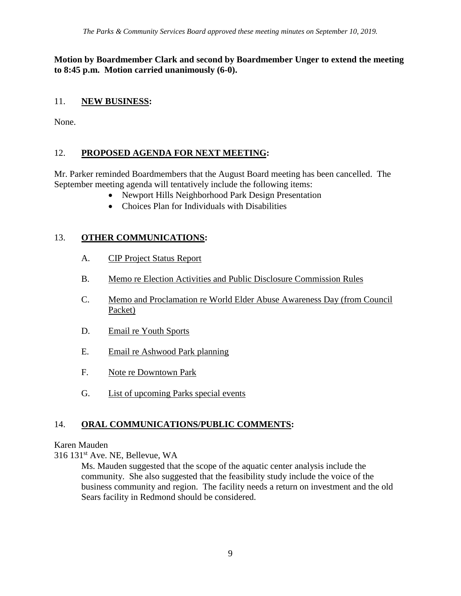#### **Motion by Boardmember Clark and second by Boardmember Unger to extend the meeting to 8:45 p.m. Motion carried unanimously (6-0).**

## 11. **NEW BUSINESS:**

None.

## 12. **PROPOSED AGENDA FOR NEXT MEETING:**

Mr. Parker reminded Boardmembers that the August Board meeting has been cancelled. The September meeting agenda will tentatively include the following items:

- Newport Hills Neighborhood Park Design Presentation
	- Choices Plan for Individuals with Disabilities

## 13. **OTHER COMMUNICATIONS:**

- A. CIP Project Status Report
- B. Memo re Election Activities and Public Disclosure Commission Rules
- C. Memo and Proclamation re World Elder Abuse Awareness Day (from Council Packet)
- D. Email re Youth Sports
- E. Email re Ashwood Park planning
- F. Note re Downtown Park
- G. List of upcoming Parks special events

## 14. **ORAL COMMUNICATIONS/PUBLIC COMMENTS:**

#### Karen Mauden

316 131st Ave. NE, Bellevue, WA

Ms. Mauden suggested that the scope of the aquatic center analysis include the community. She also suggested that the feasibility study include the voice of the business community and region. The facility needs a return on investment and the old Sears facility in Redmond should be considered.